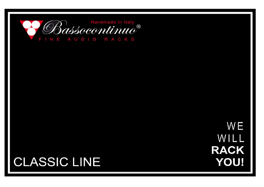

WE WILL **RACK YOU!** 

## **CLASSIC LINE**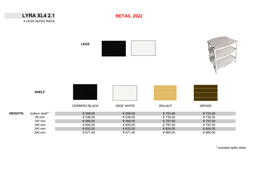|                 | <b>LYRA XL4 2.1</b><br>4 LEGS AUDIO RACK | <b>RETAIL 2022</b>   |                      |                      |                      |
|-----------------|------------------------------------------|----------------------|----------------------|----------------------|----------------------|
|                 |                                          | <b>LEGS</b>          |                      |                      |                      |
|                 | <b>SHELF</b>                             | CERBERO BLACK        | <b>ISIDE WHITE</b>   | WALNUT               | WENGE                |
| <b>HEIGHTS:</b> | bottom shelf *<br>90 mm                  | € 559,00<br>€ 538,00 | € 559,00<br>€ 538,00 | € 753,00<br>€ 735,00 | € 753,00<br>€ 735,00 |
|                 | 140 mm                                   | € 569,00             | € 569,00             | € 757,00             | € 757,00             |
|                 | 190 mm                                   | € 605,00             | € 605,00             | € 797,00             | € 797,00             |
|                 | 240 mm                                   | € 632,00             | € 632,00             | € 824,00             | € 824,00             |
|                 | 290 mm                                   | € 671,00             | € 671,00             | € 865,00             | € 865,00             |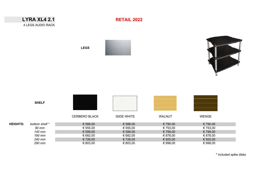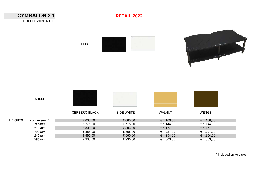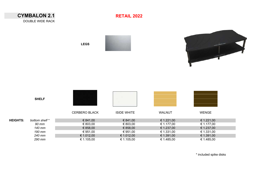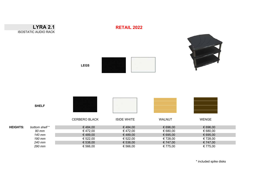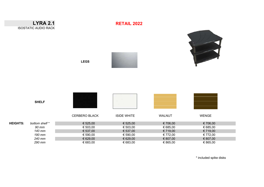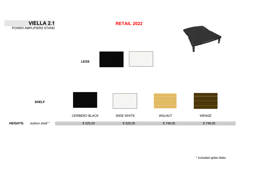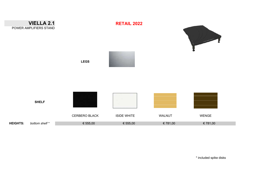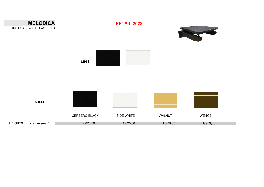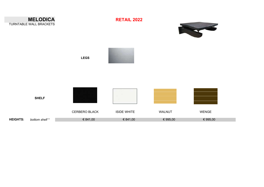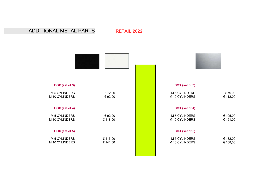## ADDITIONAL METAL PARTS **RETAIL 2022**